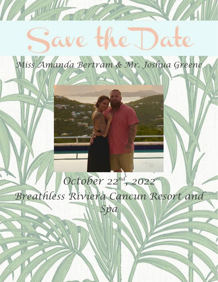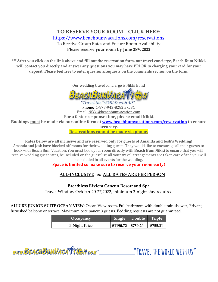# **TO RESERVE YOUR ROOM – CLICK HERE:** <https://www.beachbumvacations.com/reservations>

To Receive Group Rates and Ensure Room Availability **Please reserve your room by June 28th, 2022**

**\*\*\*After you click on the link above and fill out the reservation form, our travel concierge, Beach Bum Nikki, will contact you directly and answer any questions you may have PRIOR to charging your card for your deposit. Please feel free to enter questions/requests on the comments section on the form.**

Our wedding travel concierge is Nikki Bond

\_\_\_\_\_\_\_\_\_\_\_\_\_\_\_\_\_\_\_\_\_\_\_\_\_\_\_\_\_\_\_\_\_\_\_\_\_\_\_\_\_\_\_\_\_\_\_\_\_\_\_\_\_\_\_\_\_\_\_\_\_\_\_\_\_\_\_\_\_\_\_\_\_\_\_\_\_\_\_\_\_\_\_\_\_\_\_\_\_\_\_\_\_\_\_\_\_\_\_\_\_\_\_\_\_\_\_\_\_\_\_\_\_\_\_\_\_\_\_\_\_\_\_



Travel the WORLD with US

Phone: 1-877-943-8282 Ext 31 Email: Nikki@beachbumvacation.com **For a faster response time, please email Nikki. Bookings must be made via our online form at [www.beachbumvacations.com/reservation](http://www.beachbumvacations.com/reservation) to ensure accuracy. Reservations cannot be made via phone.**

**Rates below are all inclusive and are reserved only for guests of Amanda and Josh's Wedding!** Amanda and Josh have blocked off rooms for their wedding guests. They would like to encourage all their guests to book with Beach Bum Vacation. You must book your room directly with **Beach Bum Nikki** to ensure that you will receive wedding guest rates, be included on the guest list, all your travel arrangements are taken care of and you will be included in all events for the wedding.

### **Space is limited so make sure to reserve your room early!**

## **ALL-INCLUSIVE & ALL RATES ARE PER PERSON**

**Breathless Riviera Cancun Resort and Spa** Travel Window October 20-27,2022, minimum 3-night stay required

**ALLURE JUNIOR SUITE OCEAN VIEW:** Ocean View room, Full bathroom with double rain shower, Private, furnished balcony or terrace. Maximum occupancy: 3 guests. Bedding requests are not guaranteed.

| Occupancy     |                                    | Single Double Triple |          |
|---------------|------------------------------------|----------------------|----------|
| 3-Night Price | $\vert$ \$1190.72 $\vert$ \$759.20 |                      | \$755.31 |

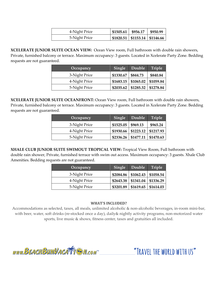| 4-Night Price | \$1505.61 \$956.17 \$950.99 |                                           |
|---------------|-----------------------------|-------------------------------------------|
| 5-Night Price |                             | $\vert$ \$1820.51   \$1153.14   \$1146.66 |

**XCELERATE JUNIOR SUITE OCEAN VIEW:** Ocean View room, Full bathroom with double rain showers, Private, furnished balcony or terrace. Maximum occupancy: 3 guests. Located in Xcelerate Party Zone. Bedding requests are not guaranteed.

| Occupancy     | Single    | Double    | <b>Triple</b> |
|---------------|-----------|-----------|---------------|
| 3-Night Price | \$1330.67 | \$844.73  | \$840.84      |
| 4-Night Price | \$1683.15 | \$1065.02 | \$1059.84     |
| 5-Night Price | \$2035.62 | \$1285.32 | \$1278.84     |

**XCELERATE JUNIOR SUITE OCEANFRONT:** Ocean View room, Full bathroom with double rain showers, Private, furnished balcony or terrace. Maximum occupancy: 3 guests. Located in Xcelerate Party Zone. Bedding requests are not guaranteed.

| Occupancy     | Single    | Double <sup>'</sup>      | Triple    |
|---------------|-----------|--------------------------|-----------|
| 3-Night Price | \$1525.05 | \$969.13                 | \$965.24  |
| 4-Night Price |           | $$1930.66 \mid $1223.12$ | \$1217.93 |
| 5-Night Price |           | $$2336.26 \mid $1477.11$ | \$1470.63 |

**XHALE CLUB JUNIOR SUITE SWIMOUT TROPICAL VIEW:** Tropical View Room, Full bathroom with double rain shower, Private, furnished terrace with swim out access. Maximum occupancy: 3 guests. Xhale Club Amenities. Bedding requests are not guaranteed.

| Occupancy     | Single                 | Double                   | <b>Triple</b> |
|---------------|------------------------|--------------------------|---------------|
| 3-Night Price |                        | $$2084.86 \mid $1062.43$ | \$1058.54     |
| 4-Night Price | $$2643.38$ \ \$1341.04 |                          | \$1336.29     |
| 5-Night Price | \$3201.89              | \$1619.65                | \$1614.03     |

#### **WHAT'S INCLUDED?**

Accommodations as selected, taxes, all meals, unlimited alcoholic & non-alcoholic beverages, in-room mini-bar, with beer, water, soft drinks (re-stocked once a day), daily& nightly activity programs, non-motorized water sports, live music & shows, fitness center, taxes and gratuities all included.

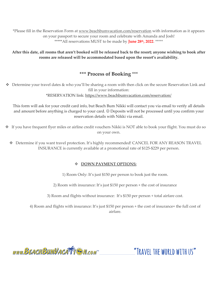\*Please fill in the Reservation Form at [www.beachbumvacation.com/reservation](http://www.beachbumvacation.com/reservation) with information as it appears on your passport to secure your room and celebrate with Amanda and Josh! \*\*\*\*\*All reservations MUST to be made by **June 28th, 2022**. \*\*\*\*\*

**After this date, all rooms that aren't booked will be released back to the resort; anyone wishing to book after rooms are released will be accommodated based upon the resort's availability.** 

## **\*\*\* Process of Booking** \*\*\*

❖ Determine your travel dates & who you'll be sharing a room with then click on the secure Reservation Link and fill in your information:

\*RESERVATION link:<https://www.beachbumvacation.com/reservation/>

This form will ask for your credit card info, but Beach Bum Nikki will contact you via email to verify all details and amount before anything is charged to your card. © Deposits will not be processed until you confirm your reservation details with Nikki via email.

- ❖ If you have frequent flyer miles or airline credit vouchers Nikki is NOT able to book your flight. You must do so on your own.
	- ❖ Determine if you want travel protection. It's highly recommended! CANCEL FOR ANY REASON TRAVEL INSURANCE is currently available at a promotional rate of \$125-\$229 per person.

#### ❖ **DOWN PAYMENT OPTIONS:**

1) Room Only: It's just \$150 per person to book just the room.

2) Room with insurance: It's just \$150 per person + the cost of insurance

3) Room and flights without insurance: It's \$150 per person + total airfare cost.

4) Room and flights with insurance: It's just \$150 per person + the cost of insurance+ the full cost of airfare.

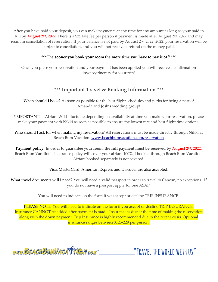After you have paid your deposit, you can make payments at any time for any amount as long as your paid in full by <mark>August 2™, 2022</mark>. There is a \$25 late fee per person if payment is made after August 2™, 2022 and may result in cancellation of reservation. If your balance is not paid by August 2<sup>nd</sup>, 2022, 2022, your reservation will be subject to cancellation, and you will not receive a refund on the money paid.

#### **\*\*\*The sooner you book your room the more time you have to pay it off! \*\*\***

Once you place your reservation and your payment has been applied you will receive a confirmation invoice/itinerary for your trip!

### **\*\*\* Important Travel & Booking Information \*\*\***

When should I book? As soon as possible for the best flight schedules and perks for being a part of Amanda and Josh's wedding group!

\*IMPORTANT! -- Airfare WILL fluctuate depending on availability at time you make your reservation, please make your payment with Nikki as soon as possible to ensure the lowest rate and best flight time options.

Who should I ask for when making my reservation? All reservations must be made directly through Nikki at Beach Bum Vacation. [www.beachbumvacation.com/reservation](http://www.beachbumvacation.com/reservation)

**Payment policy: In order to guarantee your room, the full payment must be received by August 2nd , 2022.** Beach Bum Vacation's insurance policy will cover your airfare 100% if booked through Beach Bum Vacation. Airfare booked separately is not covered.

#### Visa, MasterCard, American Express and Discover are also accepted.

What travel documents will I need? You will need a valid passport in order to travel to Cancun, no exceptions. If you do not have a passport apply for one ASAP!

You will need to indicate on the form if you accept or decline TRIP INSURANCE.

PLEASE NOTE: You will need to indicate on the form if you accept or decline TRIP INSURANCE. Insurance CANNOT be added after payment is made. Insurance is due at the time of making the reservation along with the down payment. Trip Insurance is highly recommended due to the recent crisis. Optional insurance ranges between \$125-229 per person.

www.BEACHBUMVACATTEN.com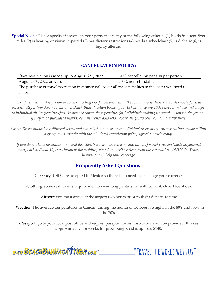Special Needs: Please specify if anyone in your party meets any of the following criteria: (1) holds frequent flyer miles (2) is hearing or vision impaired (3) has dietary restrictions (4) needs a wheelchair (5) is diabetic (6) is highly allergic.

### **CANCELLATION POLICY:**

| Once reservation is made up to August $2nd$ , 2022                                                  | \$150 cancellation penalty per person |  |
|-----------------------------------------------------------------------------------------------------|---------------------------------------|--|
| August $3^{\rm rd}$ , 2022-onward                                                                   | 100% nonrefundable                    |  |
| The purchase of travel protection insurance will cover all these penalties in the event you need to |                                       |  |
| cancel.                                                                                             |                                       |  |

*The aforementioned is person or room canceling (so if 1 person within the room cancels these same rules apply for that person). Regarding Airline tickets – if Beach Bum Vacation booked your tickets - they are 100% not refundable and subject to individual airline penalties/fees. Insurance covers these penalties for individuals making reservations within the group – if they have purchased insurance. Insurance does NOT cover the group contract, only individuals.* 

*Group Reservations have different terms and cancellation policies than individual reservation. All reservations made within a group must comply with the stipulated cancelation policy agreed for each group.*

*If you do not have insurance – natural disasters (such as hurricanes), cancelations for ANY reason (medical/personal*  emergencies, Covid-19, cancelation of the wedding, etc.) do not relieve them from these penalties. ONLY the Travel *Insurance will help with coverage.*

## **Frequently Asked Questions:**

-Currency: USDs are accepted in Mexico so there is no need to exchange your currency.

-Clothing: some restaurants require men to wear long pants, shirt with collar & closed toe shoes.

-Airport: you must arrive at the airport two hours prior to flight departure time.

- Weather: The average temperatures in Cancun during the month of October are highs in the 80's and lows in the 70's.

-Passport: go to your local post office and request passport forms, instructions will be provided. It takes approximately 4-6 weeks for processing. Cost is approx. \$140.

www.BEACHBUMVACATTE M.com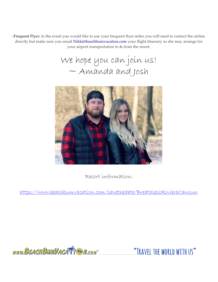-Frequent Flyer: in the event you would like to use your frequent flyer miles you will need to contact the airline directly but make sure you email Nikki@beachbumvacation.com your flight itinerary so she may arrange for your airport transportation to & from the resort.

We hope you can join us!  $\sim$  Amanda and Josh



Resort information:

<https://www.beachbumvacation.com/savethedate/BreathlessRivieraCancun>